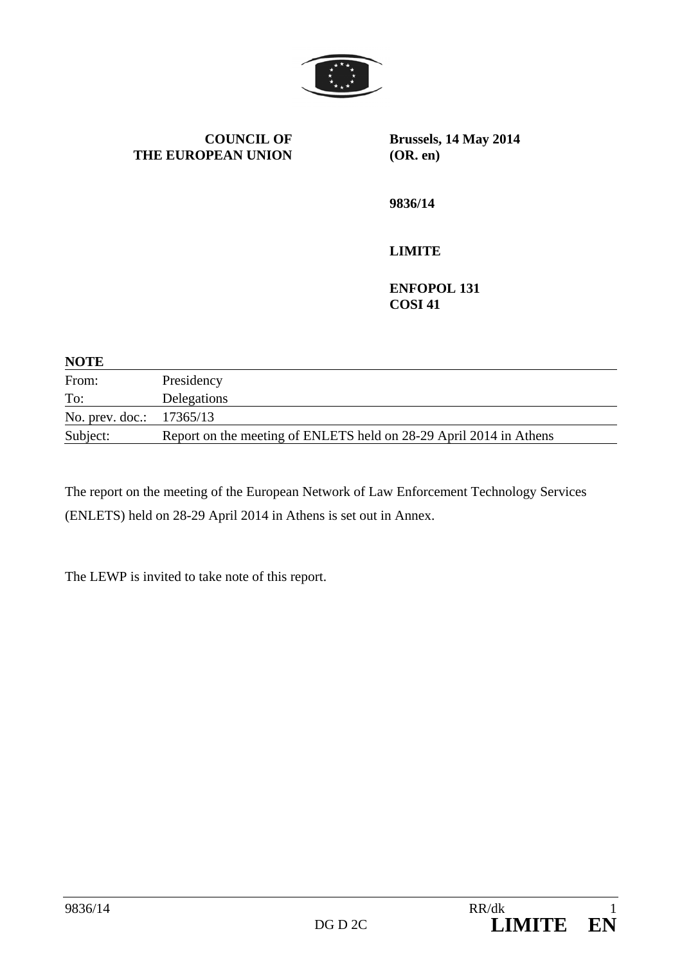

**COUNCIL OF THE EUROPEAN UNION** **Brussels, 14 May 2014 (OR. en)** 

**9836/14** 

## **LIMITE**

**ENFOPOL 131 COSI 41** 

| <b>NOTE</b>                |                                                                    |
|----------------------------|--------------------------------------------------------------------|
| From:                      | Presidency                                                         |
| To:                        | Delegations                                                        |
| No. prev. doc.: $17365/13$ |                                                                    |
| Subject:                   | Report on the meeting of ENLETS held on 28-29 April 2014 in Athens |

The report on the meeting of the European Network of Law Enforcement Technology Services (ENLETS) held on 28-29 April 2014 in Athens is set out in Annex.

The LEWP is invited to take note of this report.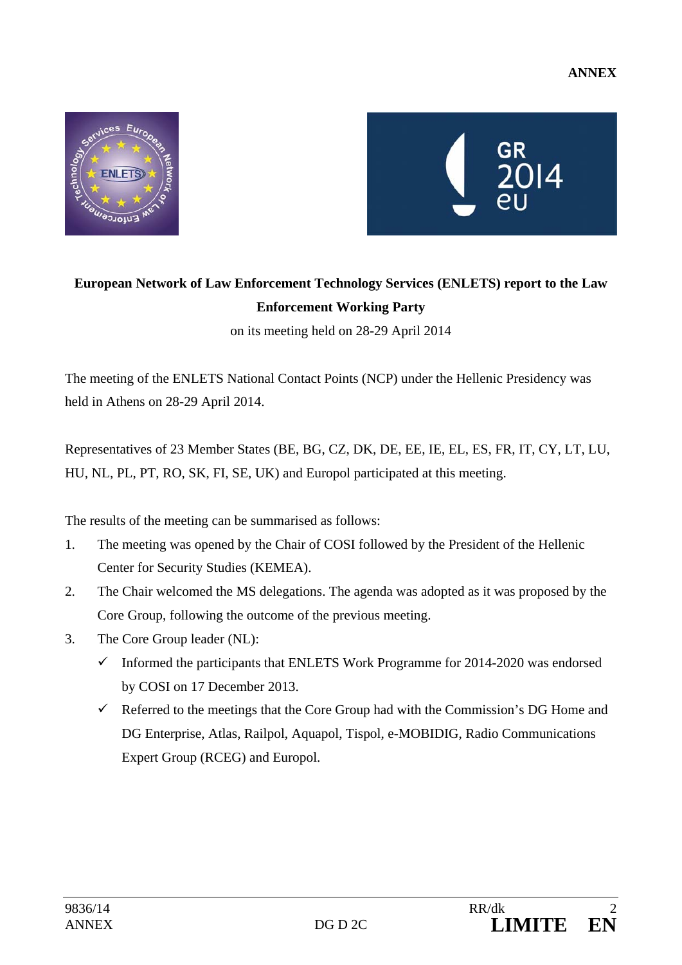



## **European Network of Law Enforcement Technology Services (ENLETS) report to the Law Enforcement Working Party**

on its meeting held on 28-29 April 2014

The meeting of the ENLETS National Contact Points (NCP) under the Hellenic Presidency was held in Athens on 28-29 April 2014.

Representatives of 23 Member States (BE, BG, CZ, DK, DE, EE, IE, EL, ES, FR, IT, CY, LT, LU, HU, NL, PL, PT, RO, SK, FI, SE, UK) and Europol participated at this meeting.

The results of the meeting can be summarised as follows:

- 1. The meeting was opened by the Chair of COSI followed by the President of the Hellenic Center for Security Studies (KEMEA).
- 2. The Chair welcomed the MS delegations. The agenda was adopted as it was proposed by the Core Group, following the outcome of the previous meeting.
- 3. The Core Group leader (NL):
	- $\checkmark$  Informed the participants that ENLETS Work Programme for 2014-2020 was endorsed by COSI on 17 December 2013.
	- $\checkmark$  Referred to the meetings that the Core Group had with the Commission's DG Home and DG Enterprise, Atlas, Railpol, Aquapol, Tispol, e-MOBIDIG, Radio Communications Expert Group (RCEG) and Europol.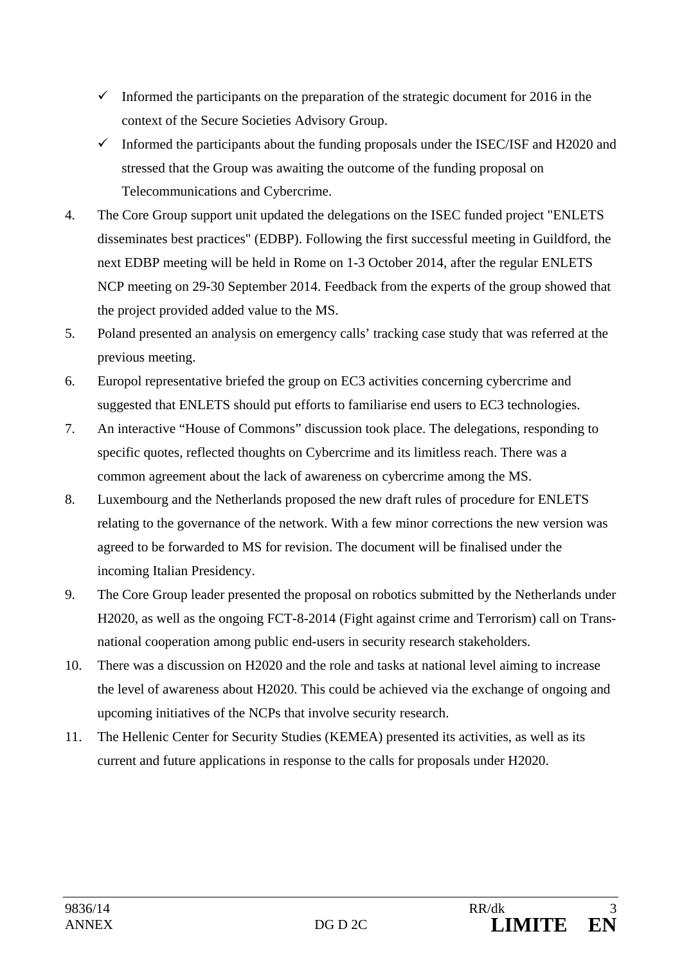- Informed the participants on the preparation of the strategic document for 2016 in the context of the Secure Societies Advisory Group.
- $\checkmark$  Informed the participants about the funding proposals under the ISEC/ISF and H2020 and stressed that the Group was awaiting the outcome of the funding proposal on Telecommunications and Cybercrime.
- 4. The Core Group support unit updated the delegations on the ISEC funded project "ENLETS disseminates best practices" (EDBP). Following the first successful meeting in Guildford, the next EDBP meeting will be held in Rome on 1-3 October 2014, after the regular ENLETS NCP meeting on 29-30 September 2014. Feedback from the experts of the group showed that the project provided added value to the MS.
- 5. Poland presented an analysis on emergency calls' tracking case study that was referred at the previous meeting.
- 6. Europol representative briefed the group on EC3 activities concerning cybercrime and suggested that ENLETS should put efforts to familiarise end users to EC3 technologies.
- 7. An interactive "House of Commons" discussion took place. The delegations, responding to specific quotes, reflected thoughts on Cybercrime and its limitless reach. There was a common agreement about the lack of awareness on cybercrime among the MS.
- 8. Luxembourg and the Netherlands proposed the new draft rules of procedure for ENLETS relating to the governance of the network. With a few minor corrections the new version was agreed to be forwarded to MS for revision. The document will be finalised under the incoming Italian Presidency.
- 9. The Core Group leader presented the proposal on robotics submitted by the Netherlands under H2020, as well as the ongoing FCT-8-2014 (Fight against crime and Terrorism) call on Transnational cooperation among public end-users in security research stakeholders.
- 10. There was a discussion on H2020 and the role and tasks at national level aiming to increase the level of awareness about H2020. This could be achieved via the exchange of ongoing and upcoming initiatives of the NCPs that involve security research.
- 11. The Hellenic Center for Security Studies (KEMEA) presented its activities, as well as its current and future applications in response to the calls for proposals under H2020.